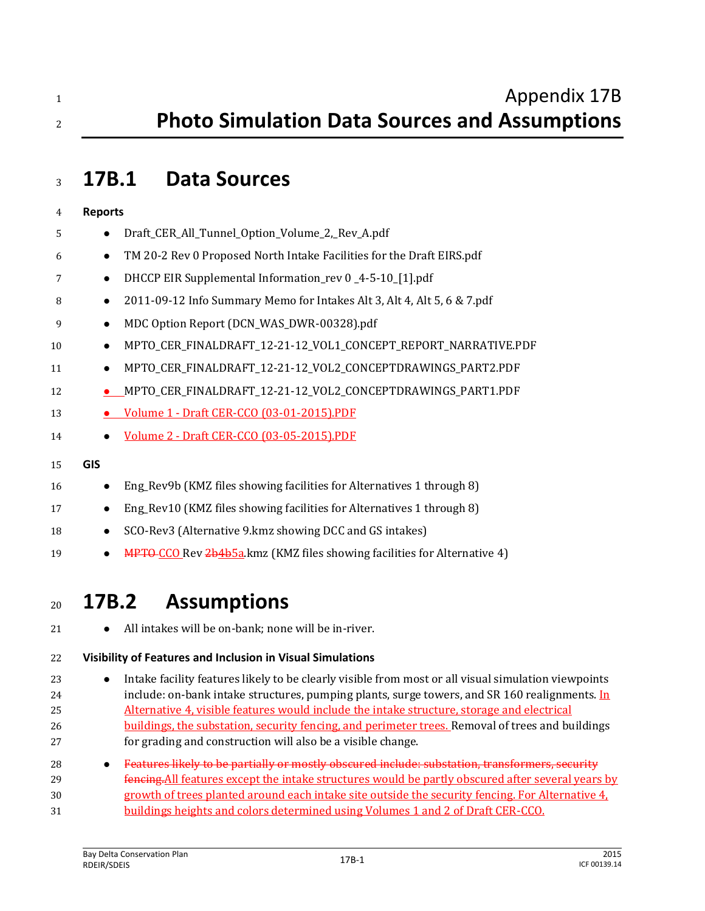| 4  | <b>Reports</b> |                                                                         |
|----|----------------|-------------------------------------------------------------------------|
| 5  |                | Draft_CER_All_Tunnel_Option_Volume_2,_Rev_A.pdf                         |
| 6  | $\bullet$      | TM 20-2 Rev 0 Proposed North Intake Facilities for the Draft EIRS.pdf   |
| 7  | $\bullet$      | DHCCP EIR Supplemental Information_rev 0_4-5-10_[1].pdf                 |
| 8  | $\bullet$      | 2011-09-12 Info Summary Memo for Intakes Alt 3, Alt 4, Alt 5, 6 & 7.pdf |
| 9  |                | MDC Option Report (DCN_WAS_DWR-00328).pdf                               |
| 10 | $\bullet$      | MPTO_CER_FINALDRAFT_12-21-12_VOL1_CONCEPT_REPORT_NARRATIVE.PDF          |
| 11 | $\bullet$      | MPTO_CER_FINALDRAFT_12-21-12_VOL2_CONCEPTDRAWINGS_PART2.PDF             |
| 12 |                | MPTO_CER_FINALDRAFT_12-21-12_VOL2_CONCEPTDRAWINGS_PART1.PDF             |
| 13 |                | Volume 1 - Draft CER-CCO (03-01-2015).PDF                               |
| 14 |                | Volume 2 - Draft CER-CCO (03-05-2015).PDF                               |
| 15 | <b>GIS</b>     |                                                                         |
| 16 |                | Eng_Rev9b (KMZ files showing facilities for Alternatives 1 through 8)   |
| 17 |                | Eng_Rev10 (KMZ files showing facilities for Alternatives 1 through 8)   |

- 18 SCO-Rev3 (Alternative 9.kmz showing DCC and GS intakes)
- **MPTO CO Rev 2b4b5a.kmz (KMZ files showing facilities for Alternative 4)**

# **17B.2 Assumptions**

21  $\bullet$  All intakes will be on-bank; none will be in-river.

# **Visibility of Features and Inclusion in Visual Simulations**

- **Intake facility features likely to be clearly visible from most or all visual simulation viewpoints** 24 include: on-bank intake structures, pumping plants, surge towers, and SR 160 realignments. In Alternative 4, visible features would include the intake structure, storage and electrical 26 buildings, the substation, security fencing, and perimeter trees. Removal of trees and buildings for grading and construction will also be a visible change.
- **Features likely to be partially or mostly obscured include: substation, transformers, security**  fencing.All features except the intake structures would be partly obscured after several years by growth of trees planted around each intake site outside the security fencing. For Alternative 4, buildings heights and colors determined using Volumes 1 and 2 of Draft CER-CCO.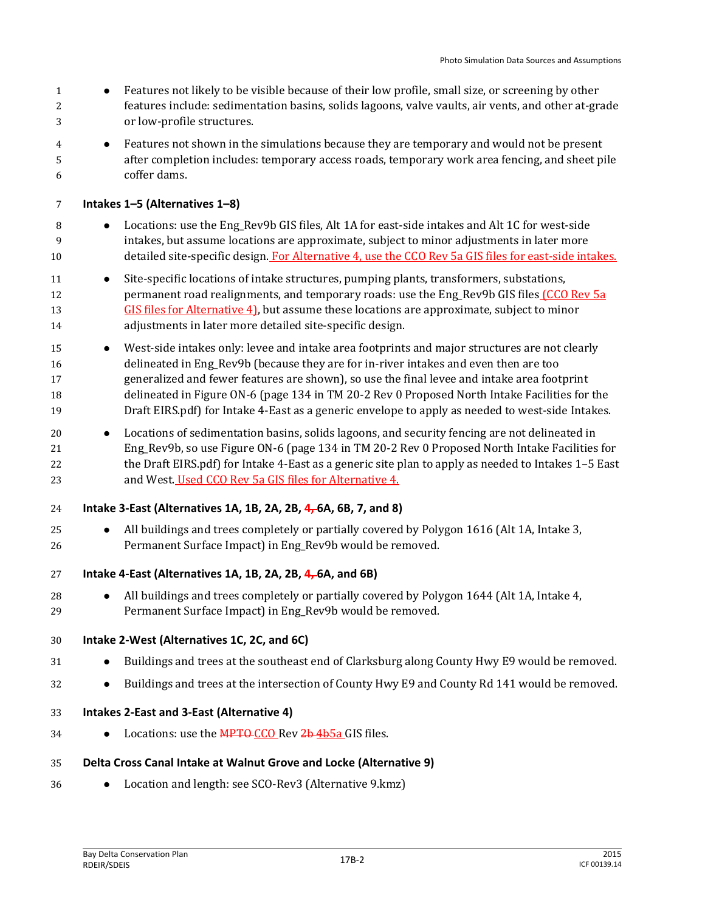- Features not likely to be visible because of their low profile, small size, or screening by other features include: sedimentation basins, solids lagoons, valve vaults, air vents, and other at-grade or low-profile structures.
- Features not shown in the simulations because they are temporary and would not be present after completion includes: temporary access roads, temporary work area fencing, and sheet pile coffer dams.

**Intakes 1–5 (Alternatives 1–8)**

- 8 Locations: use the Eng\_Rev9b GIS files, Alt 1A for east-side intakes and Alt 1C for west-side intakes, but assume locations are approximate, subject to minor adjustments in later more 10 detailed site-specific design. For Alternative 4, use the CCO Rev 5a GIS files for east-side intakes.
- 11 Site-specific locations of intake structures, pumping plants, transformers, substations, 12 permanent road realignments, and temporary roads: use the Eng Rev9b GIS files (CCO Rev 5a 13 GIS files for Alternative 4), but assume these locations are approximate, subject to minor adjustments in later more detailed site-specific design.
- **West-side intakes only: levee and intake area footprints and major structures are not clearly**  delineated in Eng\_Rev9b (because they are for in-river intakes and even then are too generalized and fewer features are shown), so use the final levee and intake area footprint delineated in Figure ON-6 (page 134 in TM 20-2 Rev 0 Proposed North Intake Facilities for the Draft EIRS.pdf) for Intake 4-East as a generic envelope to apply as needed to west-side Intakes.
- Locations of sedimentation basins, solids lagoons, and security fencing are not delineated in Eng\_Rev9b, so use Figure ON-6 (page 134 in TM 20-2 Rev 0 Proposed North Intake Facilities for the Draft EIRS.pdf) for Intake 4-East as a generic site plan to apply as needed to Intakes 1–5 East and West. Used CCO Rev 5a GIS files for Alternative 4.
- **Intake 3-East (Alternatives 1A, 1B, 2A, 2B, 4, 6A, 6B, 7, and 8)**
- 25 All buildings and trees completely or partially covered by Polygon 1616 (Alt 1A, Intake 3, Permanent Surface Impact) in Eng\_Rev9b would be removed.
- **Intake 4-East (Alternatives 1A, 1B, 2A, 2B, 4, 6A, and 6B)**
- 28 All buildings and trees completely or partially covered by Polygon 1644 (Alt 1A, Intake 4, Permanent Surface Impact) in Eng\_Rev9b would be removed.

#### **Intake 2-West (Alternatives 1C, 2C, and 6C)**

- 31 Buildings and trees at the southeast end of Clarksburg along County Hwy E9 would be removed.
- **Buildings and trees at the intersection of County Hwy E9 and County Rd 141 would be removed.**
- **Intakes 2-East and 3-East (Alternative 4)**
- Locations: use the MPTO CCO Rev 2b 4b5a GIS files.

#### **Delta Cross Canal Intake at Walnut Grove and Locke (Alternative 9)**

Location and length: see SCO-Rev3 (Alternative 9.kmz)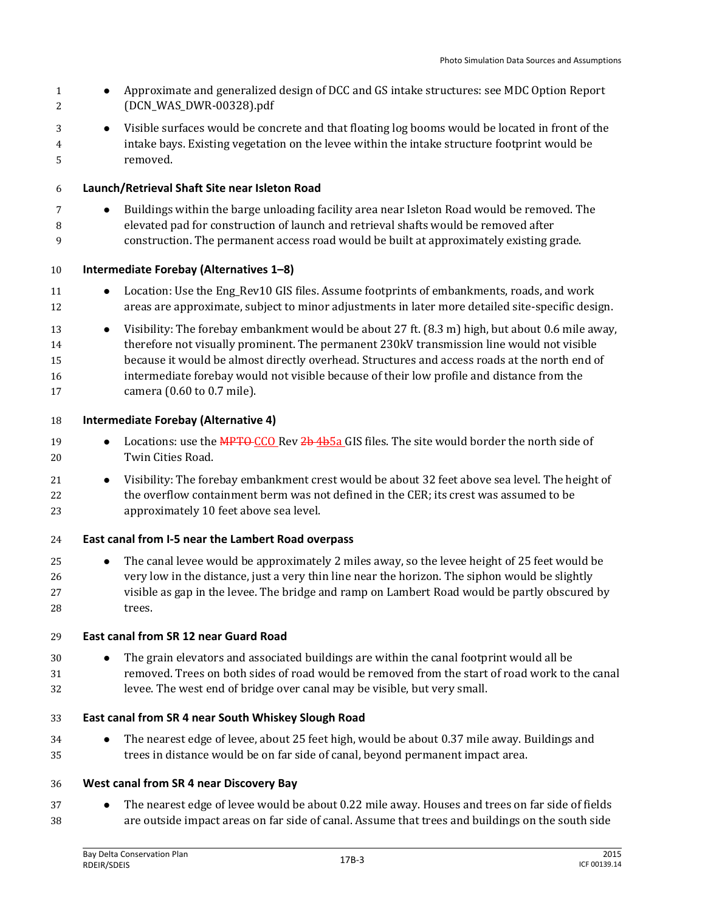**Approximate and generalized design of DCC and GS intake structures: see MDC Option Report**  (DCN\_WAS\_DWR-00328).pdf Visible surfaces would be concrete and that floating log booms would be located in front of the intake bays. Existing vegetation on the levee within the intake structure footprint would be removed. **Launch/Retrieval Shaft Site near Isleton Road Buildings within the barge unloading facility area near Isleton Road would be removed. The**  elevated pad for construction of launch and retrieval shafts would be removed after construction. The permanent access road would be built at approximately existing grade. **Intermediate Forebay (Alternatives 1–8)** 11 Location: Use the Eng\_Rev10 GIS files. Assume footprints of embankments, roads, and work areas are approximate, subject to minor adjustments in later more detailed site-specific design. 13 Visibility: The forebay embankment would be about 27 ft. (8.3 m) high, but about 0.6 mile away, therefore not visually prominent. The permanent 230kV transmission line would not visible because it would be almost directly overhead. Structures and access roads at the north end of intermediate forebay would not visible because of their low profile and distance from the camera (0.60 to 0.7 mile). **Intermediate Forebay (Alternative 4)** 19 Locations: use the MPTO CCO Rev 2b 4b5a GIS files. The site would border the north side of Twin Cities Road. 21 • Visibility: The forebay embankment crest would be about 32 feet above sea level. The height of the overflow containment berm was not defined in the CER; its crest was assumed to be approximately 10 feet above sea level. **East canal from I-5 near the Lambert Road overpass ••** The canal levee would be approximately 2 miles away, so the levee height of 25 feet would be very low in the distance, just a very thin line near the horizon. The siphon would be slightly visible as gap in the levee. The bridge and ramp on Lambert Road would be partly obscured by trees. **East canal from SR 12 near Guard Road •** The grain elevators and associated buildings are within the canal footprint would all be removed. Trees on both sides of road would be removed from the start of road work to the canal levee. The west end of bridge over canal may be visible, but very small. **East canal from SR 4 near South Whiskey Slough Road** The nearest edge of levee, about 25 feet high, would be about 0.37 mile away. Buildings and trees in distance would be on far side of canal, beyond permanent impact area. **West canal from SR 4 near Discovery Bay •** The nearest edge of levee would be about 0.22 mile away. Houses and trees on far side of fields are outside impact areas on far side of canal. Assume that trees and buildings on the south side